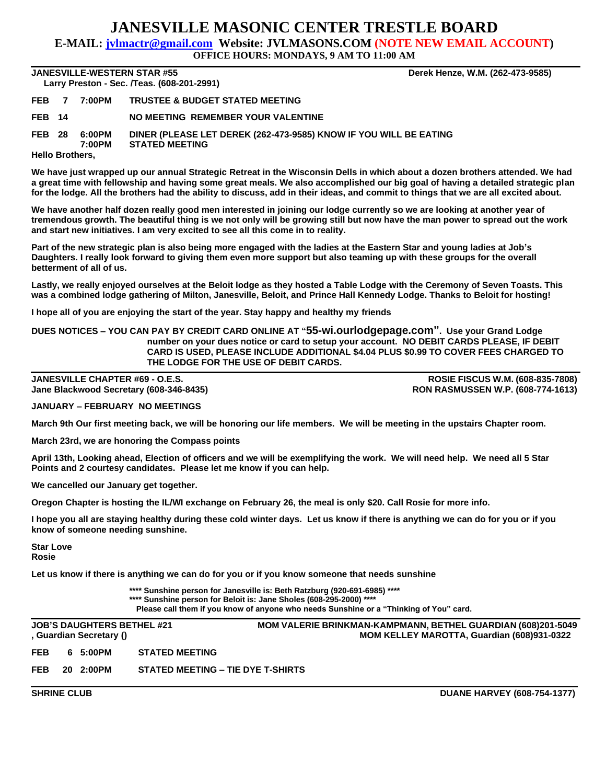## **JANESVILLE MASONIC CENTER TRESTLE BOARD**

**E-MAIL: jvlmactr@gmail.com Website: JVLMASONS.COM (NOTE NEW EMAIL ACCOUNT)**

**OFFICE HOURS: MONDAYS, 9 AM TO 11:00 AM**

## **JANESVILLE-WESTERN STAR #55 Derek Henze, W.M. (262-473-9585) Larry Preston - Sec. /Teas. (608-201-2991)**

| <b>Larry Treston - Occ. / Feas. (000-201-2</b> 991) |  |                  |                                                                                            |  |  |  |  |  |
|-----------------------------------------------------|--|------------------|--------------------------------------------------------------------------------------------|--|--|--|--|--|
| FEB <sub>7</sub>                                    |  | 7:00PM           | <b>TRUSTEE &amp; BUDGET STATED MEETING</b>                                                 |  |  |  |  |  |
| <b>FEB</b> 14                                       |  |                  | NO MEETING REMEMBER YOUR VALENTINE                                                         |  |  |  |  |  |
| <b>FEB 28</b>                                       |  | 6:00PM<br>7:00PM | DINER (PLEASE LET DEREK (262-473-9585) KNOW IF YOU WILL BE EATING<br><b>STATED MEETING</b> |  |  |  |  |  |
| <b>Hello Brothers,</b>                              |  |                  |                                                                                            |  |  |  |  |  |

**We have just wrapped up our annual Strategic Retreat in the Wisconsin Dells in which about a dozen brothers attended. We had a great time with fellowship and having some great meals. We also accomplished our big goal of having a detailed strategic plan for the lodge. All the brothers had the ability to discuss, add in their ideas, and commit to things that we are all excited about.**

**We have another half dozen really good men interested in joining our lodge currently so we are looking at another year of tremendous growth. The beautiful thing is we not only will be growing still but now have the man power to spread out the work and start new initiatives. I am very excited to see all this come in to reality.**

**Part of the new strategic plan is also being more engaged with the ladies at the Eastern Star and young ladies at Job's Daughters. I really look forward to giving them even more support but also teaming up with these groups for the overall betterment of all of us.**

**Lastly, we really enjoyed ourselves at the Beloit lodge as they hosted a Table Lodge with the Ceremony of Seven Toasts. This was a combined lodge gathering of Milton, Janesville, Beloit, and Prince Hall Kennedy Lodge. Thanks to Beloit for hosting!**

**I hope all of you are enjoying the start of the year. Stay happy and healthy my friends**

**DUES NOTICES – YOU CAN PAY BY CREDIT CARD ONLINE AT "55-wi.ourlodgepage.com". Use your Grand Lodge number on your dues notice or card to setup your account. NO DEBIT CARDS PLEASE, IF DEBIT CARD IS USED, PLEASE INCLUDE ADDITIONAL \$4.04 PLUS \$0.99 TO COVER FEES CHARGED TO THE LODGE FOR THE USE OF DEBIT CARDS.**

**JANESVILLE CHAPTER #69 - O.E.S. ROSIE FISCUS W.M. (608-835-7808) Jane Blackwood Secretary (608-346-8435) RON RASMUSSEN W.P. (608-774-1613)**

**JANUARY – FEBRUARY NO MEETINGS**

**March 9th Our first meeting back, we will be honoring our life members. We will be meeting in the upstairs Chapter room.**

**March 23rd, we are honoring the Compass points**

**April 13th, Looking ahead, Election of officers and we will be exemplifying the work. We will need help. We need all 5 Star Points and 2 courtesy candidates. Please let me know if you can help.**

**We cancelled our January get together.**

**Oregon Chapter is hosting the IL/WI exchange on February 26, the meal is only \$20. Call Rosie for more info.**

**I hope you all are staying healthy during these cold winter days. Let us know if there is anything we can do for you or if you know of someone needing sunshine.**

**Star Love Rosie**

**Let us know if there is anything we can do for you or if you know someone that needs sunshine**

**\*\*\*\* Sunshine person for Janesville is: Beth Ratzburg (920-691-6985) \*\*\*\* \*\*\*\* Sunshine person for Beloit is: Jane Sholes (608-295-2000) \*\*\*\* Please call them if you know of anyone who needs Sunshine or a "Thinking of You" card.**

|            | <b>JOB'S DAUGHTERS BETHEL #21</b><br>, Guardian Secretary () |                                   | <b>MOM VALERIE BRINKMAN-KAMPMANN, BETHEL GUARDIAN (608)201-5049</b><br>MOM KELLEY MAROTTA, Guardian (608)931-0322 |
|------------|--------------------------------------------------------------|-----------------------------------|-------------------------------------------------------------------------------------------------------------------|
| <b>FEB</b> | 6 5:00PM                                                     | <b>STATED MEETING</b>             |                                                                                                                   |
| <b>FEB</b> | 20 2:00PM                                                    | STATED MEETING - TIE DYE T-SHIRTS |                                                                                                                   |

**SHRINE CLUB DUANE HARVEY (608-754-1377)**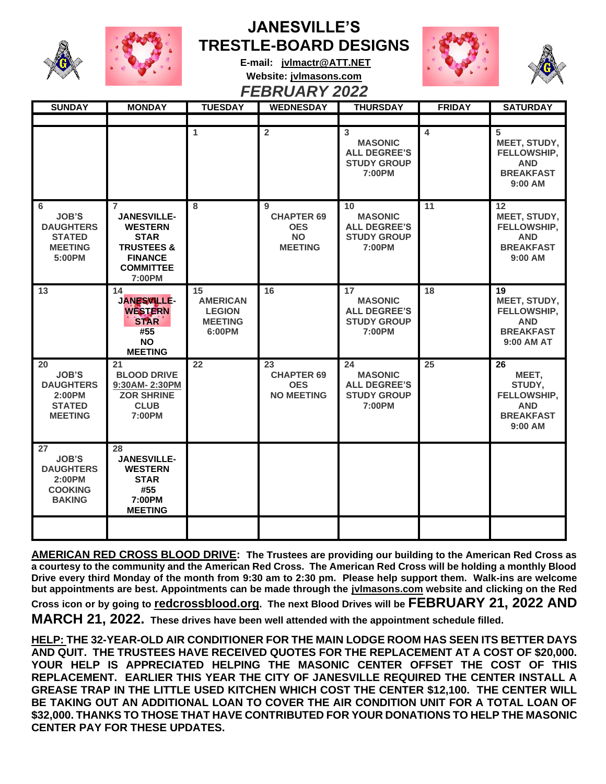

## **JANESVILLE'S TRESTLE-BOARD DESIGNS**





**E-mail: [jvlmactr@ATT.NET](mailto:jvlmactr@ATT.NET) Website: jvlmasons.com** *FEBRUARY 2022*

| <b>SUNDAY</b>                                                                       | <b>MONDAY</b>                                                                                                                                  | <b>TUESDAY</b>                                                     | <b>WEDNESDAY</b>                                                    | <b>THURSDAY</b>                                                             | <b>FRIDAY</b> | <b>SATURDAY</b>                                                                   |
|-------------------------------------------------------------------------------------|------------------------------------------------------------------------------------------------------------------------------------------------|--------------------------------------------------------------------|---------------------------------------------------------------------|-----------------------------------------------------------------------------|---------------|-----------------------------------------------------------------------------------|
|                                                                                     |                                                                                                                                                |                                                                    |                                                                     |                                                                             |               |                                                                                   |
|                                                                                     |                                                                                                                                                | 1                                                                  | $\overline{2}$                                                      | 3<br><b>MASONIC</b><br><b>ALL DEGREE'S</b><br><b>STUDY GROUP</b><br>7:00PM  | 4             | 5<br>MEET, STUDY,<br>FELLOWSHIP,<br><b>AND</b><br><b>BREAKFAST</b><br>$9:00$ AM   |
| 6<br><b>JOB'S</b><br><b>DAUGHTERS</b><br><b>STATED</b><br><b>MEETING</b><br>5:00PM  | $\overline{7}$<br><b>JANESVILLE-</b><br><b>WESTERN</b><br><b>STAR</b><br><b>TRUSTEES &amp;</b><br><b>FINANCE</b><br><b>COMMITTEE</b><br>7:00PM | 8                                                                  | 9<br><b>CHAPTER 69</b><br><b>OES</b><br><b>NO</b><br><b>MEETING</b> | 10<br><b>MASONIC</b><br><b>ALL DEGREE'S</b><br><b>STUDY GROUP</b><br>7:00PM | 11            | 12<br>MEET, STUDY,<br>FELLOWSHIP,<br><b>AND</b><br><b>BREAKFAST</b><br>9:00 AM    |
| 13                                                                                  | 14<br><b>JANESVILLE-</b><br><b>WESTERN</b><br><b>STAR</b><br>#55<br><b>NO</b><br><b>MEETING</b>                                                | 15<br><b>AMERICAN</b><br><b>LEGION</b><br><b>MEETING</b><br>6:00PM | 16                                                                  | 17<br><b>MASONIC</b><br><b>ALL DEGREE'S</b><br><b>STUDY GROUP</b><br>7:00PM | 18            | 19<br>MEET, STUDY,<br>FELLOWSHIP,<br><b>AND</b><br><b>BREAKFAST</b><br>9:00 AM AT |
| 20<br><b>JOB'S</b><br><b>DAUGHTERS</b><br>2:00PM<br><b>STATED</b><br><b>MEETING</b> | 21<br><b>BLOOD DRIVE</b><br>9:30AM-2:30PM<br><b>ZOR SHRINE</b><br><b>CLUB</b><br>7:00PM                                                        | $22 \overline{)}$                                                  | 23<br><b>CHAPTER 69</b><br><b>OES</b><br><b>NO MEETING</b>          | 24<br><b>MASONIC</b><br><b>ALL DEGREE'S</b><br><b>STUDY GROUP</b><br>7:00PM | 25            | 26<br>MEET,<br>STUDY,<br>FELLOWSHIP,<br><b>AND</b><br><b>BREAKFAST</b><br>9:00 AM |
| 27<br><b>JOB'S</b><br><b>DAUGHTERS</b><br>2:00PM<br><b>COOKING</b><br><b>BAKING</b> | 28<br><b>JANESVILLE-</b><br><b>WESTERN</b><br><b>STAR</b><br>#55<br>7:00PM<br><b>MEETING</b>                                                   |                                                                    |                                                                     |                                                                             |               |                                                                                   |
|                                                                                     |                                                                                                                                                |                                                                    |                                                                     |                                                                             |               |                                                                                   |

**AMERICAN RED CROSS BLOOD DRIVE: The Trustees are providing our building to the American Red Cross as a courtesy to the community and the American Red Cross. The American Red Cross will be holding a monthly Blood Drive every third Monday of the month from 9:30 am to 2:30 pm. Please help support them. Walk-ins are welcome but appointments are best. Appointments can be made through the jvlmasons.com website and clicking on the Red** 

**Cross icon or by going to redcrossblood.org. The next Blood Drives will be FEBRUARY 21, 2022 AND MARCH 21, 2022. These drives have been well attended with the appointment schedule filled.**

**HELP: THE 32-YEAR-OLD AIR CONDITIONER FOR THE MAIN LODGE ROOM HAS SEEN ITS BETTER DAYS AND QUIT. THE TRUSTEES HAVE RECEIVED QUOTES FOR THE REPLACEMENT AT A COST OF \$20,000. YOUR HELP IS APPRECIATED HELPING THE MASONIC CENTER OFFSET THE COST OF THIS REPLACEMENT. EARLIER THIS YEAR THE CITY OF JANESVILLE REQUIRED THE CENTER INSTALL A GREASE TRAP IN THE LITTLE USED KITCHEN WHICH COST THE CENTER \$12,100. THE CENTER WILL**  BE TAKING OUT AN ADDITIONAL LOAN TO COVER THE AIR CONDITION UNIT FOR A TOTAL LOAN OF **\$32,000. THANKS TO THOSE THAT HAVE CONTRIBUTED FOR YOUR DONATIONS TO HELP THE MASONIC CENTER PAY FOR THESE UPDATES.**